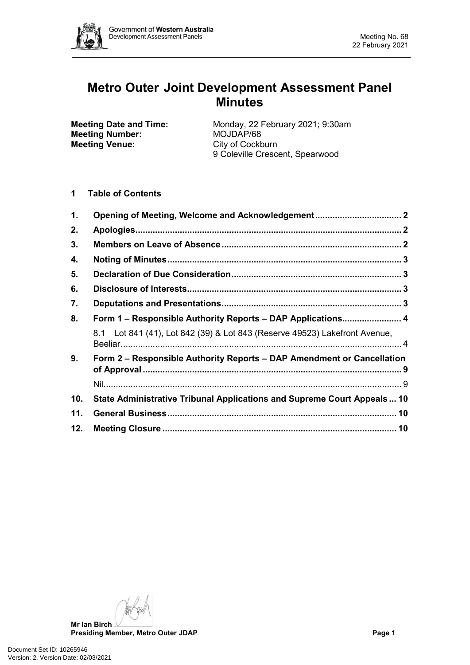

# **Metro Outer Joint Development Assessment Panel Minutes**

**Meeting Number:**<br>Meeting Venue:

**Meeting Date and Time:** Monday, 22 February 2021; 9:30am<br> **Meeting Number:** MOJDAP/68 **City of Cockburn** 9 Coleville Crescent, Spearwood

**1 Table of Contents**

| 1.  |                                                                            |  |  |  |
|-----|----------------------------------------------------------------------------|--|--|--|
| 2.  |                                                                            |  |  |  |
| 3.  |                                                                            |  |  |  |
| 4.  |                                                                            |  |  |  |
| 5.  |                                                                            |  |  |  |
| 6.  |                                                                            |  |  |  |
| 7.  |                                                                            |  |  |  |
| 8.  | Form 1 – Responsible Authority Reports – DAP Applications 4                |  |  |  |
|     | 8.1 Lot 841 (41), Lot 842 (39) & Lot 843 (Reserve 49523) Lakefront Avenue, |  |  |  |
| 9.  | Form 2 – Responsible Authority Reports – DAP Amendment or Cancellation     |  |  |  |
|     |                                                                            |  |  |  |
| 10. | State Administrative Tribunal Applications and Supreme Court Appeals 10    |  |  |  |
| 11. |                                                                            |  |  |  |
| 12. |                                                                            |  |  |  |

**Mr Ian Birch**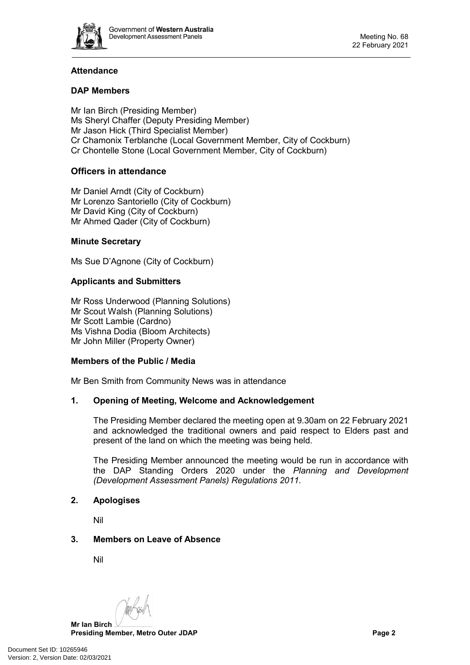

# **Attendance**

# **DAP Members**

Mr Ian Birch (Presiding Member) Ms Sheryl Chaffer (Deputy Presiding Member) Mr Jason Hick (Third Specialist Member) Cr Chamonix Terblanche (Local Government Member, City of Cockburn) Cr Chontelle Stone (Local Government Member, City of Cockburn)

# **Officers in attendance**

Mr Daniel Arndt (City of Cockburn) Mr Lorenzo Santoriello (City of Cockburn) Mr David King (City of Cockburn) Mr Ahmed Qader (City of Cockburn)

# **Minute Secretary**

Ms Sue D'Agnone (City of Cockburn)

# **Applicants and Submitters**

Mr Ross Underwood (Planning Solutions) Mr Scout Walsh (Planning Solutions) Mr Scott Lambie (Cardno) Ms Vishna Dodia (Bloom Architects) Mr John Miller (Property Owner)

#### **Members of the Public / Media**

<span id="page-1-0"></span>Mr Ben Smith from Community News was in attendance

# **1. Opening of Meeting, Welcome and Acknowledgement**

The Presiding Member declared the meeting open at 9.30am on 22 February 2021 and acknowledged the traditional owners and paid respect to Elders past and present of the land on which the meeting was being held.

The Presiding Member announced the meeting would be run in accordance with the DAP Standing Orders 2020 under the *Planning and Development (Development Assessment Panels) Regulations 2011.*

#### <span id="page-1-1"></span>**2. Apologises**

Nil

# <span id="page-1-2"></span>**3. Members on Leave of Absence**

Nil

**Mr Ian Birch**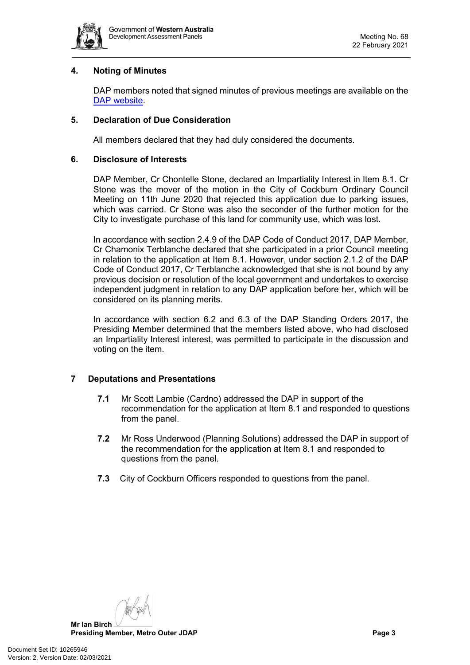

# <span id="page-2-0"></span>**4. Noting of Minutes**

DAP members noted that signed minutes of previous meetings are available on the [DAP website.](https://www.dplh.wa.gov.au/about/development-assessment-panels/daps-agendas-and-minutes)

# <span id="page-2-1"></span>**5. Declaration of Due Consideration**

All members declared that they had duly considered the documents.

#### <span id="page-2-2"></span>**6. Disclosure of Interests**

DAP Member, Cr Chontelle Stone, declared an Impartiality Interest in Item 8.1. Cr Stone was the mover of the motion in the City of Cockburn Ordinary Council Meeting on 11th June 2020 that rejected this application due to parking issues, which was carried. Cr Stone was also the seconder of the further motion for the City to investigate purchase of this land for community use, which was lost.

In accordance with section 2.4.9 of the DAP Code of Conduct 2017, DAP Member, Cr Chamonix Terblanche declared that she participated in a prior Council meeting in relation to the application at Item 8.1. However, under section 2.1.2 of the DAP Code of Conduct 2017, Cr Terblanche acknowledged that she is not bound by any previous decision or resolution of the local government and undertakes to exercise independent judgment in relation to any DAP application before her, which will be considered on its planning merits.

In accordance with section 6.2 and 6.3 of the DAP Standing Orders 2017, the Presiding Member determined that the members listed above, who had disclosed an Impartiality Interest interest, was permitted to participate in the discussion and voting on the item.

# <span id="page-2-3"></span>**7 Deputations and Presentations**

- **7.1** Mr Scott Lambie (Cardno) addressed the DAP in support of the recommendation for the application at Item 8.1 and responded to questions from the panel.
- **7.2** Mr Ross Underwood (Planning Solutions) addressed the DAP in support of the recommendation for the application at Item 8.1 and responded to questions from the panel.
- <span id="page-2-4"></span>**7.3** City of Cockburn Officers responded to questions from the panel.

**Mr Ian Birch Presiding Member, Metro Outer JDAP Page 3**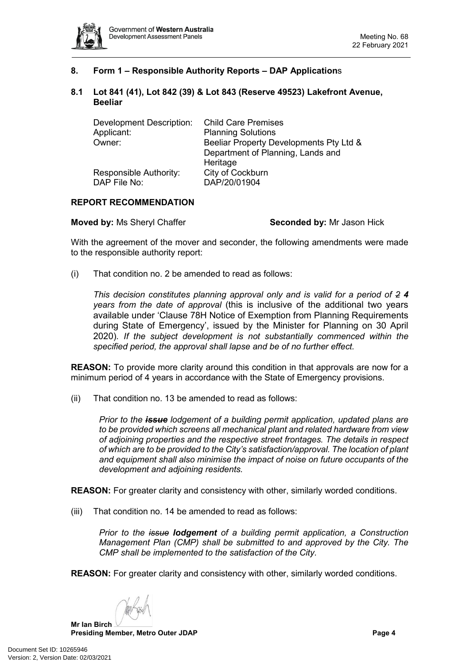

# **8. Form 1 – Responsible Authority Reports – DAP Application**s

#### <span id="page-3-0"></span>**8.1 Lot 841 (41), Lot 842 (39) & Lot 843 (Reserve 49523) Lakefront Avenue, Beeliar**

| <b>Development Description:</b> | <b>Child Care Premises</b>              |  |  |
|---------------------------------|-----------------------------------------|--|--|
| Applicant:                      | <b>Planning Solutions</b>               |  |  |
| Owner:                          | Beeliar Property Developments Pty Ltd & |  |  |
|                                 | Department of Planning, Lands and       |  |  |
|                                 | Heritage                                |  |  |
| Responsible Authority:          | City of Cockburn                        |  |  |
| DAP File No:                    | DAP/20/01904                            |  |  |

# **REPORT RECOMMENDATION**

**Moved by: Ms Sheryl Chaffer <b>Seconded by:** Mr Jason Hick

With the agreement of the mover and seconder, the following amendments were made to the responsible authority report:

(i) That condition no. 2 be amended to read as follows:

*This decision constitutes planning approval only and is valid for a period of 2 4 years from the date of approval* (this is inclusive of the additional two years available under 'Clause 78H Notice of Exemption from Planning Requirements during State of Emergency', issued by the Minister for Planning on 30 April 2020)*. If the subject development is not substantially commenced within the specified period, the approval shall lapse and be of no further effect.* 

**REASON:** To provide more clarity around this condition in that approvals are now for a minimum period of 4 years in accordance with the State of Emergency provisions.

(ii) That condition no. 13 be amended to read as follows:

*Prior to the issue lodgement of a building permit application, updated plans are to be provided which screens all mechanical plant and related hardware from view of adjoining properties and the respective street frontages. The details in respect of which are to be provided to the City's satisfaction/approval. The location of plant and equipment shall also minimise the impact of noise on future occupants of the development and adjoining residents.* 

**REASON:** For greater clarity and consistency with other, similarly worded conditions.

(iii) That condition no. 14 be amended to read as follows:

*Prior to the issue lodgement of a building permit application, a Construction Management Plan (CMP) shall be submitted to and approved by the City. The CMP shall be implemented to the satisfaction of the City.*

**REASON:** For greater clarity and consistency with other, similarly worded conditions.

**Mr Ian Birch**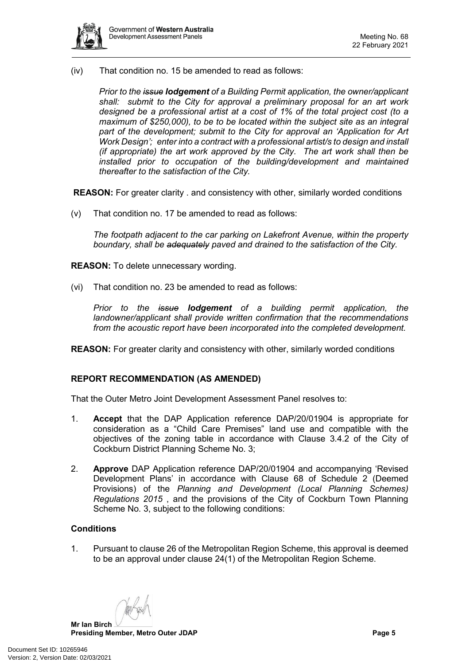

(iv) That condition no. 15 be amended to read as follows:

*Prior to the issue lodgement of a Building Permit application, the owner/applicant shall: submit to the City for approval a preliminary proposal for an art work designed be a professional artist at a cost of 1% of the total project cost (to a maximum of \$250,000), to be to be located within the subject site as an integral part of the development; submit to the City for approval an 'Application for Art Work Design'; enter into a contract with a professional artist/s to design and install (if appropriate) the art work approved by the City. The art work shall then be installed prior to occupation of the building/development and maintained thereafter to the satisfaction of the City.*

**REASON:** For greater clarity . and consistency with other, similarly worded conditions

(v) That condition no. 17 be amended to read as follows:

*The footpath adjacent to the car parking on Lakefront Avenue, within the property boundary, shall be adequately paved and drained to the satisfaction of the City.* 

**REASON:** To delete unnecessary wording.

(vi) That condition no. 23 be amended to read as follows:

*Prior to the issue lodgement of a building permit application, the landowner/applicant shall provide written confirmation that the recommendations from the acoustic report have been incorporated into the completed development.*

**REASON:** For greater clarity and consistency with other, similarly worded conditions

#### **REPORT RECOMMENDATION (AS AMENDED)**

That the Outer Metro Joint Development Assessment Panel resolves to:

- 1. **Accept** that the DAP Application reference DAP/20/01904 is appropriate for consideration as a "Child Care Premises" land use and compatible with the objectives of the zoning table in accordance with Clause 3.4.2 of the City of Cockburn District Planning Scheme No. 3;
- 2. **Approve** DAP Application reference DAP/20/01904 and accompanying 'Revised Development Plans' in accordance with Clause 68 of Schedule 2 (Deemed Provisions) of the *Planning and Development (Local Planning Schemes) Regulations 2015* , and the provisions of the City of Cockburn Town Planning Scheme No. 3, subject to the following conditions:

#### **Conditions**

1. Pursuant to clause 26 of the Metropolitan Region Scheme, this approval is deemed to be an approval under clause 24(1) of the Metropolitan Region Scheme.

**Mr Ian Birch**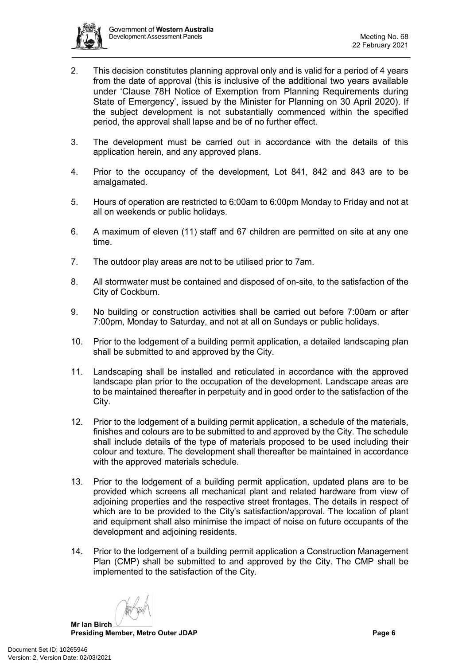

- 2. This decision constitutes planning approval only and is valid for a period of 4 years from the date of approval (this is inclusive of the additional two years available under 'Clause 78H Notice of Exemption from Planning Requirements during State of Emergency', issued by the Minister for Planning on 30 April 2020). If the subject development is not substantially commenced within the specified period, the approval shall lapse and be of no further effect.
- 3. The development must be carried out in accordance with the details of this application herein, and any approved plans.
- 4. Prior to the occupancy of the development, Lot 841, 842 and 843 are to be amalgamated.
- 5. Hours of operation are restricted to 6:00am to 6:00pm Monday to Friday and not at all on weekends or public holidays.
- 6. A maximum of eleven (11) staff and 67 children are permitted on site at any one time.
- 7. The outdoor play areas are not to be utilised prior to 7am.
- 8. All stormwater must be contained and disposed of on-site, to the satisfaction of the City of Cockburn.
- 9. No building or construction activities shall be carried out before 7:00am or after 7:00pm, Monday to Saturday, and not at all on Sundays or public holidays.
- 10. Prior to the lodgement of a building permit application, a detailed landscaping plan shall be submitted to and approved by the City.
- 11. Landscaping shall be installed and reticulated in accordance with the approved landscape plan prior to the occupation of the development. Landscape areas are to be maintained thereafter in perpetuity and in good order to the satisfaction of the City.
- 12. Prior to the lodgement of a building permit application, a schedule of the materials, finishes and colours are to be submitted to and approved by the City. The schedule shall include details of the type of materials proposed to be used including their colour and texture. The development shall thereafter be maintained in accordance with the approved materials schedule.
- 13. Prior to the lodgement of a building permit application, updated plans are to be provided which screens all mechanical plant and related hardware from view of adjoining properties and the respective street frontages. The details in respect of which are to be provided to the City's satisfaction/approval. The location of plant and equipment shall also minimise the impact of noise on future occupants of the development and adjoining residents.
- 14. Prior to the lodgement of a building permit application a Construction Management Plan (CMP) shall be submitted to and approved by the City. The CMP shall be implemented to the satisfaction of the City.

**Mr Ian Birch**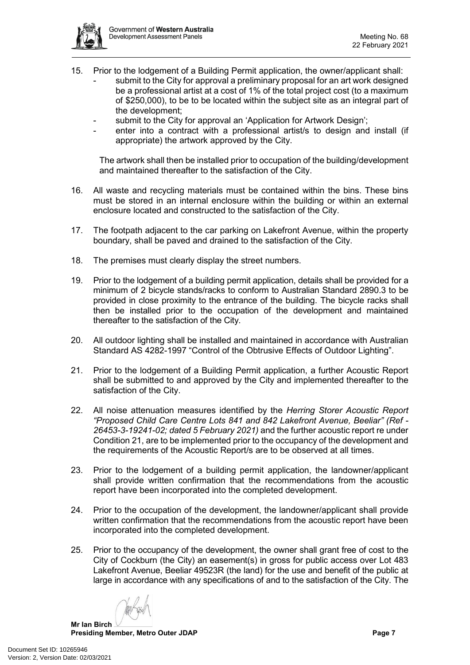

- 15. Prior to the lodgement of a Building Permit application, the owner/applicant shall: submit to the City for approval a preliminary proposal for an art work designed be a professional artist at a cost of 1% of the total project cost (to a maximum of \$250,000), to be to be located within the subject site as an integral part of the development;
	- submit to the City for approval an 'Application for Artwork Design';
	- enter into a contract with a professional artist/s to design and install (if appropriate) the artwork approved by the City.

The artwork shall then be installed prior to occupation of the building/development and maintained thereafter to the satisfaction of the City.

- 16. All waste and recycling materials must be contained within the bins. These bins must be stored in an internal enclosure within the building or within an external enclosure located and constructed to the satisfaction of the City.
- 17. The footpath adjacent to the car parking on Lakefront Avenue, within the property boundary, shall be paved and drained to the satisfaction of the City.
- 18. The premises must clearly display the street numbers.
- 19. Prior to the lodgement of a building permit application, details shall be provided for a minimum of 2 bicycle stands/racks to conform to Australian Standard 2890.3 to be provided in close proximity to the entrance of the building. The bicycle racks shall then be installed prior to the occupation of the development and maintained thereafter to the satisfaction of the City.
- 20. All outdoor lighting shall be installed and maintained in accordance with Australian Standard AS 4282-1997 "Control of the Obtrusive Effects of Outdoor Lighting".
- 21. Prior to the lodgement of a Building Permit application, a further Acoustic Report shall be submitted to and approved by the City and implemented thereafter to the satisfaction of the City.
- 22. All noise attenuation measures identified by the *Herring Storer Acoustic Report "Proposed Child Care Centre Lots 841 and 842 Lakefront Avenue, Beeliar" (Ref - 26453-3-19241-02; dated 5 February 2021)* and the further acoustic report re under Condition 21, are to be implemented prior to the occupancy of the development and the requirements of the Acoustic Report/s are to be observed at all times.
- 23. Prior to the lodgement of a building permit application, the landowner/applicant shall provide written confirmation that the recommendations from the acoustic report have been incorporated into the completed development.
- 24. Prior to the occupation of the development, the landowner/applicant shall provide written confirmation that the recommendations from the acoustic report have been incorporated into the completed development.
- 25. Prior to the occupancy of the development, the owner shall grant free of cost to the City of Cockburn (the City) an easement(s) in gross for public access over Lot 483 Lakefront Avenue, Beeliar 49523R (the land) for the use and benefit of the public at large in accordance with any specifications of and to the satisfaction of the City. The

**Mr Ian Birch**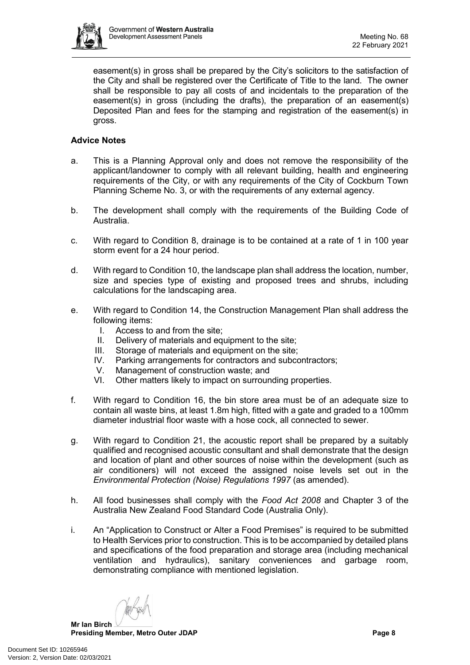

easement(s) in gross shall be prepared by the City's solicitors to the satisfaction of the City and shall be registered over the Certificate of Title to the land. The owner shall be responsible to pay all costs of and incidentals to the preparation of the easement(s) in gross (including the drafts), the preparation of an easement(s) Deposited Plan and fees for the stamping and registration of the easement(s) in gross.

# **Advice Notes**

- a. This is a Planning Approval only and does not remove the responsibility of the applicant/landowner to comply with all relevant building, health and engineering requirements of the City, or with any requirements of the City of Cockburn Town Planning Scheme No. 3, or with the requirements of any external agency.
- b. The development shall comply with the requirements of the Building Code of Australia.
- c. With regard to Condition 8, drainage is to be contained at a rate of 1 in 100 year storm event for a 24 hour period.
- d. With regard to Condition 10, the landscape plan shall address the location, number, size and species type of existing and proposed trees and shrubs, including calculations for the landscaping area.
- e. With regard to Condition 14, the Construction Management Plan shall address the following items:
	- I. Access to and from the site;
	- II. Delivery of materials and equipment to the site;
	- III. Storage of materials and equipment on the site;<br>IV. Parking arrangements for contractors and subco
	- Parking arrangements for contractors and subcontractors;
	- V. Management of construction waste; and<br>VI. Other matters likely to impact on surroun
	- Other matters likely to impact on surrounding properties.
- f. With regard to Condition 16, the bin store area must be of an adequate size to contain all waste bins, at least 1.8m high, fitted with a gate and graded to a 100mm diameter industrial floor waste with a hose cock, all connected to sewer.
- g. With regard to Condition 21, the acoustic report shall be prepared by a suitably qualified and recognised acoustic consultant and shall demonstrate that the design and location of plant and other sources of noise within the development (such as air conditioners) will not exceed the assigned noise levels set out in the *Environmental Protection (Noise) Regulations 1997* (as amended).
- h. All food businesses shall comply with the *Food Act 2008* and Chapter 3 of the Australia New Zealand Food Standard Code (Australia Only).
- i. An "Application to Construct or Alter a Food Premises" is required to be submitted to Health Services prior to construction. This is to be accompanied by detailed plans and specifications of the food preparation and storage area (including mechanical ventilation and hydraulics), sanitary conveniences and garbage room, demonstrating compliance with mentioned legislation.

**Mr Ian Birch**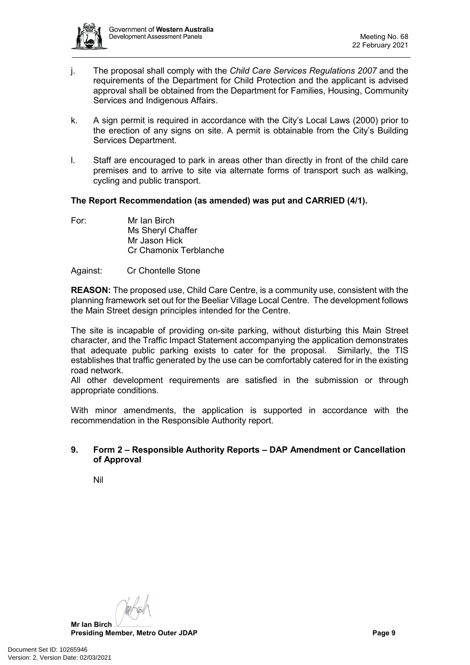

- j. The proposal shall comply with the *Child Care Services Regulations 2007* and the requirements of the Department for Child Protection and the applicant is advised approval shall be obtained from the Department for Families, Housing, Community Services and Indigenous Affairs.
- k. A sign permit is required in accordance with the City's Local Laws (2000) prior to the erection of any signs on site. A permit is obtainable from the City's Building Services Department.
- l. Staff are encouraged to park in areas other than directly in front of the child care premises and to arrive to site via alternate forms of transport such as walking, cycling and public transport.

# **The Report Recommendation (as amended) was put and CARRIED (4/1).**

For: Mr Ian Birch Ms Sheryl Chaffer Mr Jason Hick Cr Chamonix Terblanche

# Against: Cr Chontelle Stone

**REASON:** The proposed use, Child Care Centre, is a community use, consistent with the planning framework set out for the Beeliar Village Local Centre. The development follows the Main Street design principles intended for the Centre.

The site is incapable of providing on-site parking, without disturbing this Main Street character, and the Traffic Impact Statement accompanying the application demonstrates that adequate public parking exists to cater for the proposal. Similarly, the TIS establishes that traffic generated by the use can be comfortably catered for in the existing road network.

All other development requirements are satisfied in the submission or through appropriate conditions.

With minor amendments, the application is supported in accordance with the recommendation in the Responsible Authority report.

# <span id="page-8-0"></span>**9. Form 2 – Responsible Authority Reports – DAP Amendment or Cancellation of Approval**

<span id="page-8-1"></span>Nil

**Mr Ian Birch Presiding Member, Metro Outer JDAP Page 9**